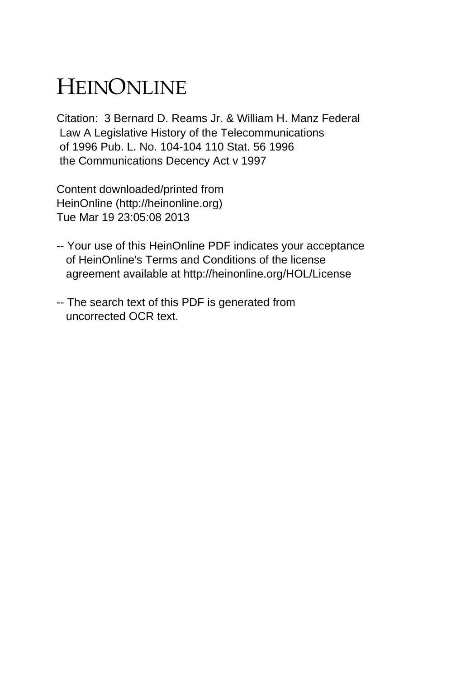## HEINONLINE

Citation: 3 Bernard D. Reams Jr. & William H. Manz Federal Law A Legislative History of the Telecommunications of 1996 Pub. L. No. 104-104 110 Stat. 56 1996 the Communications Decency Act v 1997

Content downloaded/printed from HeinOnline (http://heinonline.org) Tue Mar 19 23:05:08 2013

- -- Your use of this HeinOnline PDF indicates your acceptance of HeinOnline's Terms and Conditions of the license agreement available at http://heinonline.org/HOL/License
- -- The search text of this PDF is generated from uncorrected OCR text.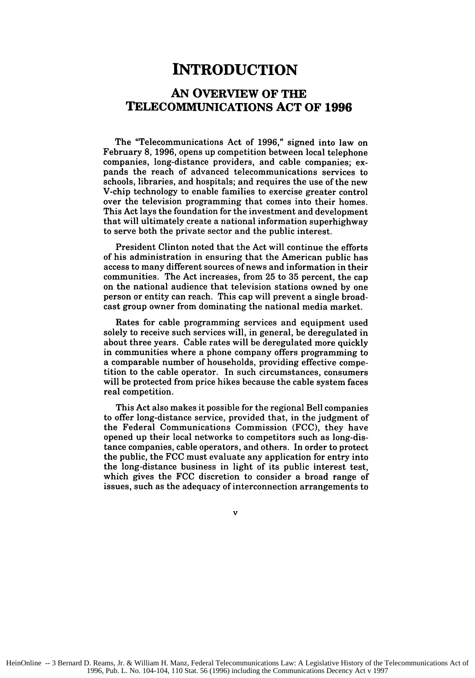## **INTRODUCTION**

## **AN OVERVIEW OF THE TELECOMMUNICATIONS ACT OF 1996**

The "Telecommunications Act of **1996,"** signed into law on February **8, 1996,** opens up competition between local telephone companies, long-distance providers, and cable companies; expands the reach of advanced telecommunications services to schools, libraries, and hospitals; and requires the use of the new V-chip technology to enable families to exercise greater control over the television programming that comes into their homes. This Act lays the foundation for the investment and development that will ultimately create a national information superhighway to serve both the private sector and the public interest.

President Clinton noted that the Act will continue the efforts of his administration in ensuring that the American public has access to many different sources of news and information in their communities. The Act increases, from 25 to 35 percent, the cap on the national audience that television stations owned by one person or entity can reach. This cap will prevent a single broadcast group owner from dominating the national media market.

Rates for cable programming services and equipment used solely to receive such services will, in general, be deregulated in about three years. Cable rates will be deregulated more quickly in communities where a phone company offers programming to a comparable number of households, providing effective competition to the cable operator. In such circumstances, consumers will be protected from price hikes because the cable system faces real competition.

This Act also makes it possible for the regional Bell companies to offer long-distance service, provided that, in the judgment of the Federal Communications Commission (FCC), they have opened up their local networks to competitors such as long-distance companies, cable operators, and others. In order to protect the public, the FCC must evaluate any application for entry into the long-distance business in light of its public interest test, which gives the FCC discretion to consider a broad range of issues, such as the adequacy of interconnection arrangements to

v